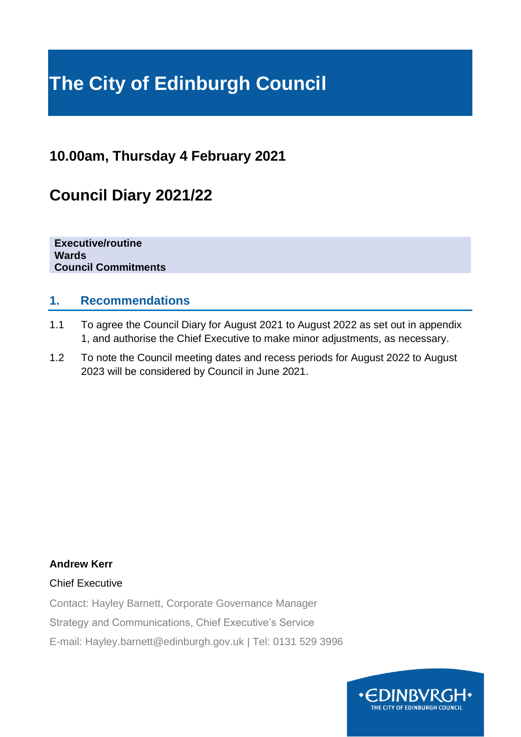# **The City of Edinburgh Council**

## **10.00am, Thursday 4 February 2021**

## **Council Diary 2021/22**

**Executive/routine Wards Council Commitments**

### **1. Recommendations**

- 1.1 To agree the Council Diary for August 2021 to August 2022 as set out in appendix 1, and authorise the Chief Executive to make minor adjustments, as necessary.
- 1.2 To note the Council meeting dates and recess periods for August 2022 to August 2023 will be considered by Council in June 2021.

#### **Andrew Kerr**

#### Chief Executive

Contact: Hayley Barnett, Corporate Governance Manager

Strategy and Communications, Chief Executive's Service

E-mail: Hayley.barnett@edinburgh.gov.uk | Tel: 0131 529 3996

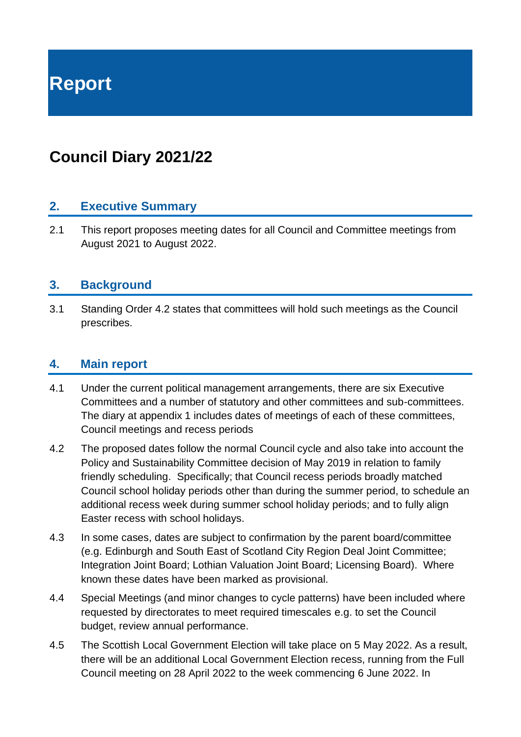# **Report**

## **Council Diary 2021/22**

#### **2. Executive Summary**

2.1 This report proposes meeting dates for all Council and Committee meetings from August 2021 to August 2022.

#### **3. Background**

3.1 Standing Order 4.2 states that committees will hold such meetings as the Council prescribes.

#### **4. Main report**

- 4.1 Under the current political management arrangements, there are six Executive Committees and a number of statutory and other committees and sub-committees. The diary at appendix 1 includes dates of meetings of each of these committees, Council meetings and recess periods
- 4.2 The proposed dates follow the normal Council cycle and also take into account the Policy and Sustainability Committee decision of May 2019 in relation to family friendly scheduling. Specifically; that Council recess periods broadly matched Council school holiday periods other than during the summer period, to schedule an additional recess week during summer school holiday periods; and to fully align Easter recess with school holidays.
- 4.3 In some cases, dates are subject to confirmation by the parent board/committee (e.g. Edinburgh and South East of Scotland City Region Deal Joint Committee; Integration Joint Board; Lothian Valuation Joint Board; Licensing Board). Where known these dates have been marked as provisional.
- 4.4 Special Meetings (and minor changes to cycle patterns) have been included where requested by directorates to meet required timescales e.g. to set the Council budget, review annual performance.
- 4.5 The Scottish Local Government Election will take place on 5 May 2022. As a result, there will be an additional Local Government Election recess, running from the Full Council meeting on 28 April 2022 to the week commencing 6 June 2022. In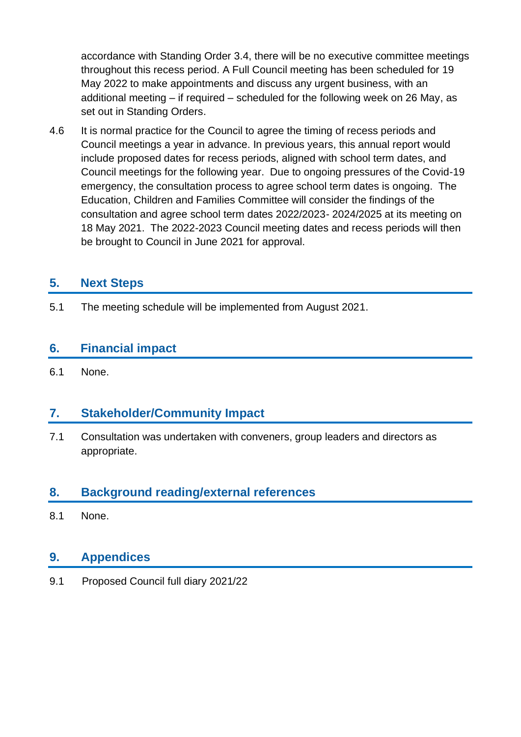accordance with Standing Order 3.4, there will be no executive committee meetings throughout this recess period. A Full Council meeting has been scheduled for 19 May 2022 to make appointments and discuss any urgent business, with an additional meeting – if required – scheduled for the following week on 26 May, as set out in Standing Orders.

4.6 It is normal practice for the Council to agree the timing of recess periods and Council meetings a year in advance. In previous years, this annual report would include proposed dates for recess periods, aligned with school term dates, and Council meetings for the following year. Due to ongoing pressures of the Covid-19 emergency, the consultation process to agree school term dates is ongoing. The Education, Children and Families Committee will consider the findings of the consultation and agree school term dates 2022/2023- 2024/2025 at its meeting on 18 May 2021. The 2022-2023 Council meeting dates and recess periods will then be brought to Council in June 2021 for approval.

### **5. Next Steps**

5.1 The meeting schedule will be implemented from August 2021.

### **6. Financial impact**

6.1 None.

### **7. Stakeholder/Community Impact**

7.1 Consultation was undertaken with conveners, group leaders and directors as appropriate.

### **8. Background reading/external references**

8.1 None.

#### **9. Appendices**

9.1 Proposed Council full diary 2021/22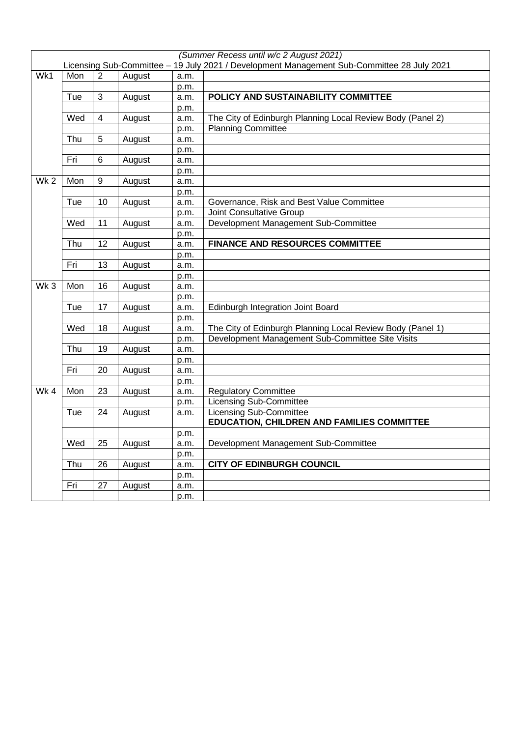|                 |     |                         |        |      | (Summer Recess until w/c 2 August 2021)                                                    |
|-----------------|-----|-------------------------|--------|------|--------------------------------------------------------------------------------------------|
|                 |     |                         |        |      | Licensing Sub-Committee - 19 July 2021 / Development Management Sub-Committee 28 July 2021 |
| Wk1             | Mon | $\overline{2}$          | August | a.m. |                                                                                            |
|                 |     |                         |        | p.m. |                                                                                            |
|                 | Tue | 3                       | August | a.m. | POLICY AND SUSTAINABILITY COMMITTEE                                                        |
|                 |     |                         |        | p.m. |                                                                                            |
|                 | Wed | $\overline{\mathbf{4}}$ | August | a.m. | The City of Edinburgh Planning Local Review Body (Panel 2)                                 |
|                 |     |                         |        | p.m. | <b>Planning Committee</b>                                                                  |
|                 | Thu | 5                       | August | a.m. |                                                                                            |
|                 |     |                         |        | p.m. |                                                                                            |
|                 | Fri | 6                       | August | a.m. |                                                                                            |
|                 |     |                         |        | p.m. |                                                                                            |
| Wk <sub>2</sub> | Mon | 9                       | August | a.m. |                                                                                            |
|                 |     |                         |        | p.m. |                                                                                            |
|                 | Tue | 10                      | August | a.m. | Governance, Risk and Best Value Committee                                                  |
|                 |     |                         |        | p.m. | Joint Consultative Group                                                                   |
|                 | Wed | 11                      | August | a.m. | Development Management Sub-Committee                                                       |
|                 |     |                         |        | p.m. |                                                                                            |
|                 | Thu | 12                      | August | a.m. | <b>FINANCE AND RESOURCES COMMITTEE</b>                                                     |
|                 |     |                         |        | p.m. |                                                                                            |
|                 | Fri | $\overline{13}$         | August | a.m. |                                                                                            |
|                 |     |                         |        | p.m. |                                                                                            |
| Wk3             | Mon | 16                      | August | a.m. |                                                                                            |
|                 |     |                         |        | p.m. |                                                                                            |
|                 | Tue | $\overline{17}$         | August | a.m. | Edinburgh Integration Joint Board                                                          |
|                 |     |                         |        | p.m. |                                                                                            |
|                 | Wed | 18                      | August | a.m. | The City of Edinburgh Planning Local Review Body (Panel 1)                                 |
|                 |     |                         |        | p.m. | Development Management Sub-Committee Site Visits                                           |
|                 | Thu | $\overline{19}$         | August | a.m. |                                                                                            |
|                 |     |                         |        | p.m. |                                                                                            |
|                 | Fri | 20                      | August | a.m. |                                                                                            |
|                 |     |                         |        | p.m. |                                                                                            |
| $Wk$ 4          | Mon | $\overline{23}$         | August | a.m. | <b>Regulatory Committee</b>                                                                |
|                 |     |                         |        | p.m. | <b>Licensing Sub-Committee</b>                                                             |
|                 | Tue | 24                      | August | a.m. | <b>Licensing Sub-Committee</b>                                                             |
|                 |     |                         |        |      | <b>EDUCATION, CHILDREN AND FAMILIES COMMITTEE</b>                                          |
|                 |     |                         |        | p.m. |                                                                                            |
|                 | Wed | 25                      | August | a.m. | Development Management Sub-Committee                                                       |
|                 |     |                         |        | p.m. |                                                                                            |
|                 | Thu | $\overline{26}$         | August | a.m. | <b>CITY OF EDINBURGH COUNCIL</b>                                                           |
|                 |     |                         |        | p.m. |                                                                                            |
|                 | Fri | 27                      | August | a.m. |                                                                                            |
|                 |     |                         |        | p.m. |                                                                                            |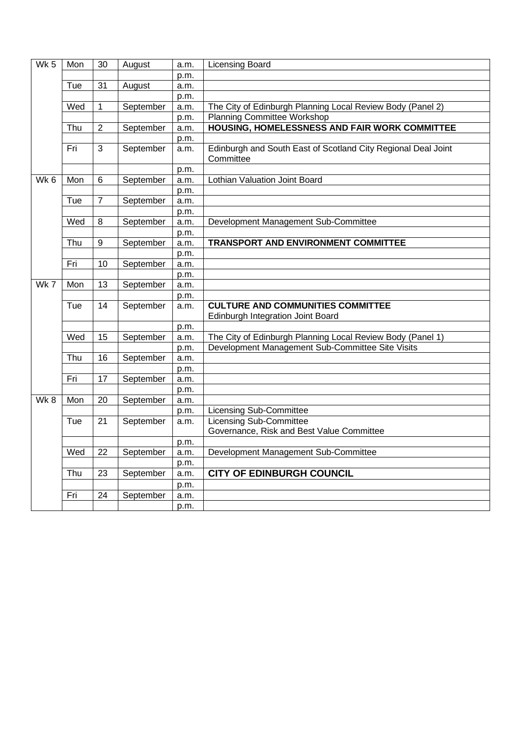| $Wk$ 5 | Mon | $\overline{30}$ | August    | a.m. | <b>Licensing Board</b>                                                     |
|--------|-----|-----------------|-----------|------|----------------------------------------------------------------------------|
|        |     |                 |           | p.m. |                                                                            |
|        | Tue | $\overline{31}$ | August    | a.m. |                                                                            |
|        |     |                 |           | p.m. |                                                                            |
|        | Wed | $\mathbf 1$     | September | a.m. | The City of Edinburgh Planning Local Review Body (Panel 2)                 |
|        |     |                 |           | p.m. | <b>Planning Committee Workshop</b>                                         |
|        | Thu | $\overline{2}$  | September | a.m. | <b>HOUSING, HOMELESSNESS AND FAIR WORK COMMITTEE</b>                       |
|        |     |                 |           | p.m. |                                                                            |
|        | Fri | 3               | September | a.m. | Edinburgh and South East of Scotland City Regional Deal Joint<br>Committee |
|        |     |                 |           | p.m. |                                                                            |
| Wk 6   | Mon | 6               | September | a.m. | Lothian Valuation Joint Board                                              |
|        |     |                 |           | p.m. |                                                                            |
|        | Tue | $\overline{7}$  | September | a.m. |                                                                            |
|        |     |                 |           | p.m. |                                                                            |
|        | Wed | 8               | September | a.m. | Development Management Sub-Committee                                       |
|        |     |                 |           | p.m. |                                                                            |
|        | Thu | 9               | September | a.m. | <b>TRANSPORT AND ENVIRONMENT COMMITTEE</b>                                 |
|        |     |                 |           | p.m. |                                                                            |
|        | Fri | 10              | September | a.m. |                                                                            |
|        |     |                 |           | p.m. |                                                                            |
| $Wk$ 7 | Mon | $\overline{13}$ | September | a.m. |                                                                            |
|        |     |                 |           | p.m. |                                                                            |
|        | Tue | 14              | September | a.m. | <b>CULTURE AND COMMUNITIES COMMITTEE</b>                                   |
|        |     |                 |           |      | Edinburgh Integration Joint Board                                          |
|        |     |                 |           | p.m. |                                                                            |
|        | Wed | 15              | September | a.m. | The City of Edinburgh Planning Local Review Body (Panel 1)                 |
|        |     |                 |           | p.m. | Development Management Sub-Committee Site Visits                           |
|        | Thu | 16              | September | a.m. |                                                                            |
|        |     |                 |           | p.m. |                                                                            |
|        | Fri | 17              | September | a.m. |                                                                            |
|        |     |                 |           | p.m. |                                                                            |
| $Wk$ 8 | Mon | $\overline{20}$ | September | a.m. |                                                                            |
|        |     |                 |           | p.m. | <b>Licensing Sub-Committee</b>                                             |
|        | Tue | $\overline{21}$ | September | a.m. | <b>Licensing Sub-Committee</b>                                             |
|        |     |                 |           |      | Governance, Risk and Best Value Committee                                  |
|        |     |                 |           | p.m. |                                                                            |
|        | Wed | 22              | September | a.m. | Development Management Sub-Committee                                       |
|        |     |                 |           | p.m. |                                                                            |
|        | Thu | 23              | September | a.m. | <b>CITY OF EDINBURGH COUNCIL</b>                                           |
|        |     |                 |           | p.m. |                                                                            |
|        | Fri | $\overline{24}$ | September | a.m. |                                                                            |
|        |     |                 |           | p.m. |                                                                            |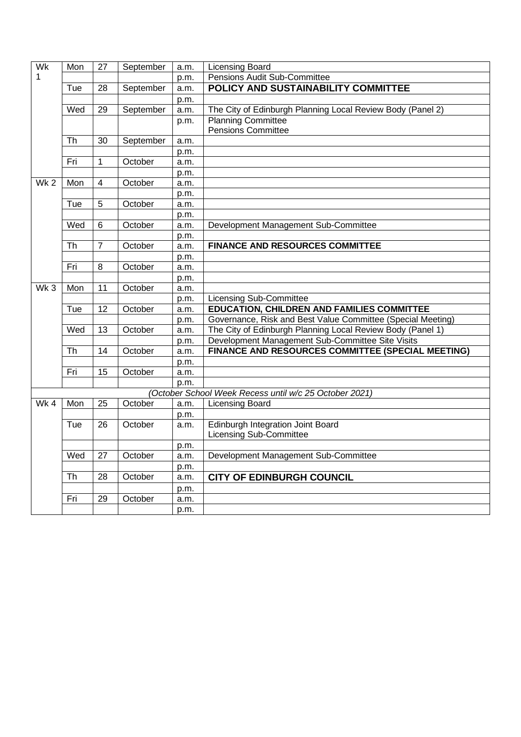| Wk              | Mon                    | $\overline{27}$ | September | a.m. | <b>Licensing Board</b>                                      |
|-----------------|------------------------|-----------------|-----------|------|-------------------------------------------------------------|
| 1               |                        |                 |           | p.m. | Pensions Audit Sub-Committee                                |
|                 | Tue                    | $\overline{28}$ | September | a.m. | POLICY AND SUSTAINABILITY COMMITTEE                         |
|                 |                        |                 |           | p.m. |                                                             |
|                 | Wed                    | 29              | September | a.m. | The City of Edinburgh Planning Local Review Body (Panel 2)  |
|                 |                        |                 |           | p.m. | <b>Planning Committee</b>                                   |
|                 |                        |                 |           |      | <b>Pensions Committee</b>                                   |
|                 | Th                     | 30              | September | a.m. |                                                             |
|                 |                        |                 |           | p.m. |                                                             |
|                 | Fri                    | 1               | October   | a.m. |                                                             |
|                 |                        |                 |           | p.m. |                                                             |
| Wk <sub>2</sub> | Mon                    | 4               | October   | a.m. |                                                             |
|                 |                        |                 |           | p.m. |                                                             |
|                 | Tue                    | 5               | October   | a.m. |                                                             |
|                 |                        |                 |           | p.m. |                                                             |
|                 | Wed                    | 6               | October   | a.m. | Development Management Sub-Committee                        |
|                 |                        |                 |           | p.m. |                                                             |
|                 | Th                     | $\overline{7}$  | October   | a.m. | <b>FINANCE AND RESOURCES COMMITTEE</b>                      |
|                 |                        |                 |           | p.m. |                                                             |
|                 | Fri                    | 8               | October   | a.m. |                                                             |
|                 |                        |                 |           | p.m. |                                                             |
| Wk <sub>3</sub> | Mon                    | 11              | October   | a.m. |                                                             |
|                 |                        |                 |           | p.m. | <b>Licensing Sub-Committee</b>                              |
|                 | Tue                    | 12              | October   | a.m. | <b>EDUCATION, CHILDREN AND FAMILIES COMMITTEE</b>           |
|                 |                        |                 |           | p.m. | Governance, Risk and Best Value Committee (Special Meeting) |
|                 | Wed                    | $\overline{13}$ | October   | a.m. | The City of Edinburgh Planning Local Review Body (Panel 1)  |
|                 |                        |                 |           | p.m. | Development Management Sub-Committee Site Visits            |
|                 | $\overline{\text{Th}}$ | 14              | October   | a.m. | <b>FINANCE AND RESOURCES COMMITTEE (SPECIAL MEETING)</b>    |
|                 |                        |                 |           | p.m. |                                                             |
|                 | Fri                    | $\overline{15}$ | October   | a.m. |                                                             |
|                 |                        |                 |           | p.m. |                                                             |
|                 |                        |                 |           |      | (October School Week Recess until w/c 25 October 2021)      |
| Wk <sub>4</sub> | Mon                    | $\overline{25}$ | October   | a.m. | <b>Licensing Board</b>                                      |
|                 |                        |                 |           | p.m. |                                                             |
|                 | Tue                    | 26              | October   | a.m. | <b>Edinburgh Integration Joint Board</b>                    |
|                 |                        |                 |           |      | <b>Licensing Sub-Committee</b>                              |
|                 |                        |                 |           | p.m. |                                                             |
|                 | Wed                    | 27              | October   | a.m. | Development Management Sub-Committee                        |
|                 |                        |                 |           | p.m. |                                                             |
|                 | <b>Th</b>              | 28              | October   | a.m. | <b>CITY OF EDINBURGH COUNCIL</b>                            |
|                 |                        |                 |           | p.m. |                                                             |
|                 | Fri                    | $\overline{29}$ | October   | a.m. |                                                             |
|                 |                        |                 |           | p.m. |                                                             |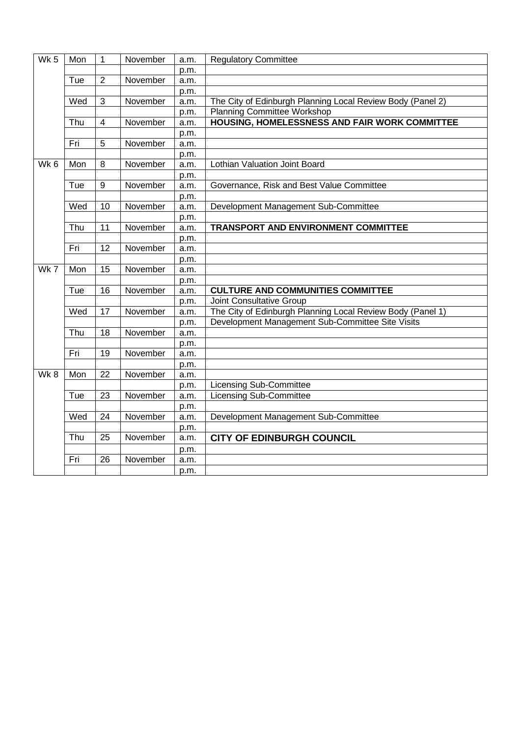| Wk <sub>5</sub> | Mon | $\overline{1}$ | November | a.m. | <b>Regulatory Committee</b>                                |
|-----------------|-----|----------------|----------|------|------------------------------------------------------------|
|                 |     |                |          | p.m. |                                                            |
|                 | Tue | $\overline{2}$ | November | a.m. |                                                            |
|                 |     |                |          | p.m. |                                                            |
|                 | Wed | 3              | November | a.m. | The City of Edinburgh Planning Local Review Body (Panel 2) |
|                 |     |                |          | p.m. | <b>Planning Committee Workshop</b>                         |
|                 | Thu | $\overline{4}$ | November | a.m. | HOUSING, HOMELESSNESS AND FAIR WORK COMMITTEE              |
|                 |     |                |          | p.m. |                                                            |
|                 | Fri | 5              | November | a.m. |                                                            |
|                 |     |                |          | p.m. |                                                            |
| Wk <sub>6</sub> | Mon | 8              | November | a.m. | Lothian Valuation Joint Board                              |
|                 |     |                |          | p.m. |                                                            |
|                 | Tue | 9              | November | a.m. | Governance, Risk and Best Value Committee                  |
|                 |     |                |          | p.m. |                                                            |
|                 | Wed | 10             | November | a.m. | Development Management Sub-Committee                       |
|                 |     |                |          | p.m. |                                                            |
|                 | Thu | 11             | November | a.m. | <b>TRANSPORT AND ENVIRONMENT COMMITTEE</b>                 |
|                 |     |                |          | p.m. |                                                            |
|                 | Fri | 12             | November | a.m. |                                                            |
|                 |     |                |          | p.m. |                                                            |
| Wk7             | Mon | 15             | November | a.m. |                                                            |
|                 |     |                |          | p.m. |                                                            |
|                 | Tue | 16             | November | a.m. | <b>CULTURE AND COMMUNITIES COMMITTEE</b>                   |
|                 |     |                |          | p.m. | <b>Joint Consultative Group</b>                            |
|                 | Wed | 17             | November | a.m. | The City of Edinburgh Planning Local Review Body (Panel 1) |
|                 |     |                |          | p.m. | Development Management Sub-Committee Site Visits           |
|                 | Thu | 18             | November | a.m. |                                                            |
|                 |     |                |          | p.m. |                                                            |
|                 | Fri | 19             | November | a.m. |                                                            |
|                 |     |                |          | p.m. |                                                            |
| Wk8             | Mon | 22             | November | a.m. |                                                            |
|                 |     |                |          | p.m. | <b>Licensing Sub-Committee</b>                             |
|                 | Tue | 23             | November | a.m. | <b>Licensing Sub-Committee</b>                             |
|                 |     |                |          | p.m. |                                                            |
|                 | Wed | 24             | November | a.m. | Development Management Sub-Committee                       |
|                 |     |                |          | p.m. |                                                            |
|                 | Thu | 25             | November | a.m. | <b>CITY OF EDINBURGH COUNCIL</b>                           |
|                 |     |                |          | p.m. |                                                            |
|                 | Fri | 26             | November | a.m. |                                                            |
|                 |     |                |          | p.m. |                                                            |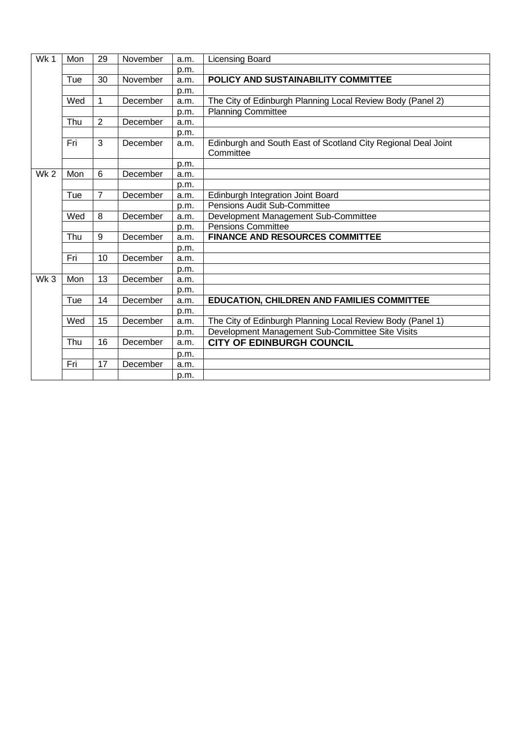| Wk1             | Mon | 29             | November | a.m. | <b>Licensing Board</b>                                                     |
|-----------------|-----|----------------|----------|------|----------------------------------------------------------------------------|
|                 |     |                |          | p.m. |                                                                            |
|                 | Tue | 30             | November | a.m. | POLICY AND SUSTAINABILITY COMMITTEE                                        |
|                 |     |                |          | p.m. |                                                                            |
|                 | Wed | 1              | December | a.m. | The City of Edinburgh Planning Local Review Body (Panel 2)                 |
|                 |     |                |          | p.m. | <b>Planning Committee</b>                                                  |
|                 | Thu | $\overline{2}$ | December | a.m. |                                                                            |
|                 |     |                |          | p.m. |                                                                            |
|                 | Fri | 3              | December | a.m. | Edinburgh and South East of Scotland City Regional Deal Joint<br>Committee |
|                 |     |                |          | p.m. |                                                                            |
| Wk <sub>2</sub> | Mon | 6              | December | a.m. |                                                                            |
|                 |     |                |          | p.m. |                                                                            |
|                 | Tue | $\overline{7}$ | December | a.m. | Edinburgh Integration Joint Board                                          |
|                 |     |                |          | p.m. | Pensions Audit Sub-Committee                                               |
|                 | Wed | 8              | December | a.m. | Development Management Sub-Committee                                       |
|                 |     |                |          | p.m. | <b>Pensions Committee</b>                                                  |
|                 | Thu | 9              | December | a.m. | <b>FINANCE AND RESOURCES COMMITTEE</b>                                     |
|                 |     |                |          | p.m. |                                                                            |
|                 | Fri | 10             | December | a.m. |                                                                            |
|                 |     |                |          | p.m. |                                                                            |
| Wk3             | Mon | 13             | December | a.m. |                                                                            |
|                 |     |                |          | p.m. |                                                                            |
|                 | Tue | 14             | December | a.m. | <b>EDUCATION, CHILDREN AND FAMILIES COMMITTEE</b>                          |
|                 |     |                |          | p.m. |                                                                            |
|                 | Wed | 15             | December | a.m. | The City of Edinburgh Planning Local Review Body (Panel 1)                 |
|                 |     |                |          | p.m. | Development Management Sub-Committee Site Visits                           |
|                 | Thu | 16             | December | a.m. | <b>CITY OF EDINBURGH COUNCIL</b>                                           |
|                 |     |                |          | p.m. |                                                                            |
|                 | Fri | 17             | December | a.m. |                                                                            |
|                 |     |                |          | p.m. |                                                                            |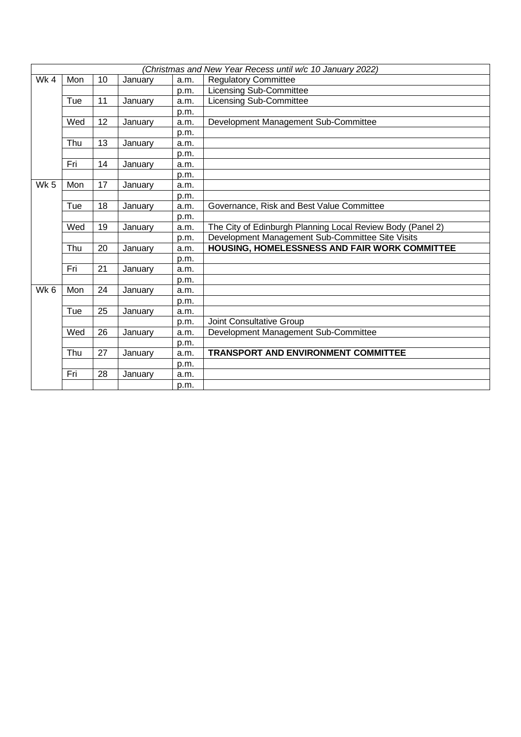|                 | (Christmas and New Year Recess until w/c 10 January 2022) |    |         |      |                                                            |  |  |  |  |
|-----------------|-----------------------------------------------------------|----|---------|------|------------------------------------------------------------|--|--|--|--|
| Wk4             | Mon                                                       | 10 | January | a.m. | <b>Regulatory Committee</b>                                |  |  |  |  |
|                 |                                                           |    |         | p.m. | <b>Licensing Sub-Committee</b>                             |  |  |  |  |
|                 | Tue                                                       | 11 | January | a.m. | Licensing Sub-Committee                                    |  |  |  |  |
|                 |                                                           |    |         | p.m. |                                                            |  |  |  |  |
|                 | Wed                                                       | 12 | January | a.m. | Development Management Sub-Committee                       |  |  |  |  |
|                 |                                                           |    |         | p.m. |                                                            |  |  |  |  |
|                 | Thu                                                       | 13 | January | a.m. |                                                            |  |  |  |  |
|                 |                                                           |    |         | p.m. |                                                            |  |  |  |  |
|                 | Fri                                                       | 14 | January | a.m. |                                                            |  |  |  |  |
|                 |                                                           |    |         | p.m. |                                                            |  |  |  |  |
| Wk <sub>5</sub> | Mon                                                       | 17 | January | a.m. |                                                            |  |  |  |  |
|                 |                                                           |    |         | p.m. |                                                            |  |  |  |  |
|                 | Tue                                                       | 18 | January | a.m. | Governance, Risk and Best Value Committee                  |  |  |  |  |
|                 |                                                           |    |         | p.m. |                                                            |  |  |  |  |
|                 | Wed                                                       | 19 | January | a.m. | The City of Edinburgh Planning Local Review Body (Panel 2) |  |  |  |  |
|                 |                                                           |    |         | p.m. | Development Management Sub-Committee Site Visits           |  |  |  |  |
|                 | Thu                                                       | 20 | January | a.m. | HOUSING, HOMELESSNESS AND FAIR WORK COMMITTEE              |  |  |  |  |
|                 |                                                           |    |         | p.m. |                                                            |  |  |  |  |
|                 | Fri                                                       | 21 | January | a.m. |                                                            |  |  |  |  |
|                 |                                                           |    |         | p.m. |                                                            |  |  |  |  |
| Wk <sub>6</sub> | Mon                                                       | 24 | January | a.m. |                                                            |  |  |  |  |
|                 |                                                           |    |         | p.m. |                                                            |  |  |  |  |
|                 | Tue                                                       | 25 | January | a.m. |                                                            |  |  |  |  |
|                 |                                                           |    |         | p.m. | <b>Joint Consultative Group</b>                            |  |  |  |  |
|                 | Wed                                                       | 26 | January | a.m. | Development Management Sub-Committee                       |  |  |  |  |
|                 |                                                           |    |         | p.m. |                                                            |  |  |  |  |
|                 | Thu                                                       | 27 | January | a.m. | <b>TRANSPORT AND ENVIRONMENT COMMITTEE</b>                 |  |  |  |  |
|                 |                                                           |    |         | p.m. |                                                            |  |  |  |  |
|                 | Fri                                                       | 28 | January | a.m. |                                                            |  |  |  |  |
|                 |                                                           |    |         | p.m. |                                                            |  |  |  |  |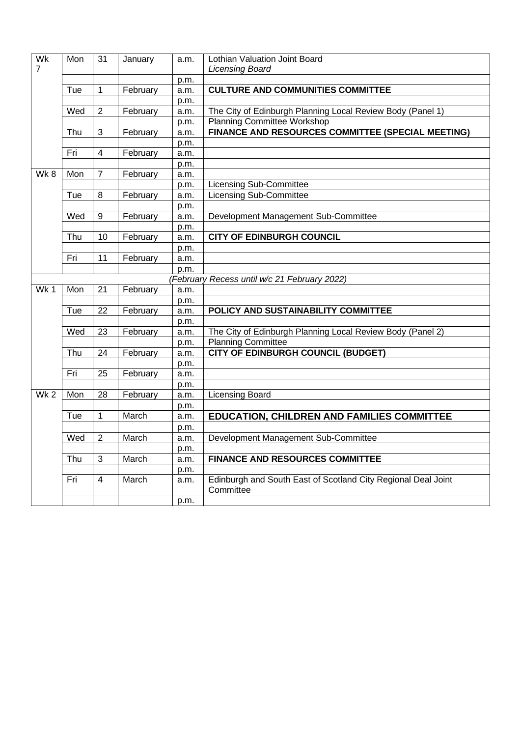| Wk<br>$\overline{7}$ | Mon | 31              | January  | a.m. | Lothian Valuation Joint Board<br><b>Licensing Board</b>                    |
|----------------------|-----|-----------------|----------|------|----------------------------------------------------------------------------|
|                      |     |                 |          | p.m. |                                                                            |
|                      | Tue | $\mathbf 1$     | February | a.m. | <b>CULTURE AND COMMUNITIES COMMITTEE</b>                                   |
|                      |     |                 |          | p.m. |                                                                            |
|                      | Wed | $\overline{2}$  | February | a.m. | The City of Edinburgh Planning Local Review Body (Panel 1)                 |
|                      |     |                 |          | p.m. | Planning Committee Workshop                                                |
|                      | Thu | 3               | February | a.m. | FINANCE AND RESOURCES COMMITTEE (SPECIAL MEETING)                          |
|                      |     |                 |          | p.m. |                                                                            |
|                      | Fri | $\overline{4}$  | February | a.m. |                                                                            |
|                      |     |                 |          | p.m. |                                                                            |
| Wk8                  | Mon | $\overline{7}$  | February | a.m. |                                                                            |
|                      |     |                 |          | p.m. | <b>Licensing Sub-Committee</b>                                             |
|                      | Tue | 8               | February | a.m. | Licensing Sub-Committee                                                    |
|                      |     |                 |          | p.m. |                                                                            |
|                      | Wed | 9               | February | a.m. | Development Management Sub-Committee                                       |
|                      |     |                 |          | p.m. |                                                                            |
|                      | Thu | 10              | February | a.m. | <b>CITY OF EDINBURGH COUNCIL</b>                                           |
|                      |     |                 |          | p.m. |                                                                            |
|                      | Fri | 11              | February | a.m. |                                                                            |
|                      |     |                 |          | p.m. |                                                                            |
|                      |     |                 |          |      | (February Recess until w/c 21 February 2022)                               |
| Wk <sub>1</sub>      | Mon | 21              | February | a.m. |                                                                            |
|                      |     |                 |          | p.m. |                                                                            |
|                      | Tue | $\overline{22}$ | February | a.m. | POLICY AND SUSTAINABILITY COMMITTEE                                        |
|                      |     |                 |          | p.m. |                                                                            |
|                      | Wed | $\overline{23}$ | February | a.m. | The City of Edinburgh Planning Local Review Body (Panel 2)                 |
|                      |     |                 |          | p.m. | <b>Planning Committee</b>                                                  |
|                      | Thu | $\overline{24}$ | February | a.m. | <b>CITY OF EDINBURGH COUNCIL (BUDGET)</b>                                  |
|                      |     |                 |          | p.m. |                                                                            |
|                      | Fri | 25              | February | a.m. |                                                                            |
| Wk <sub>2</sub>      | Mon | $\overline{28}$ |          | p.m. |                                                                            |
|                      |     |                 | February | a.m. | Licensing Board                                                            |
|                      |     | $\mathbf 1$     | March    | p.m. |                                                                            |
|                      | Tue |                 |          | a.m. | <b>EDUCATION, CHILDREN AND FAMILIES COMMITTEE</b>                          |
|                      |     |                 |          | p.m. |                                                                            |
|                      | Wed | $\overline{2}$  | March    | a.m. | Development Management Sub-Committee                                       |
|                      |     |                 |          | p.m. |                                                                            |
|                      | Thu | 3               | March    | a.m. | <b>FINANCE AND RESOURCES COMMITTEE</b>                                     |
|                      |     |                 |          | p.m. |                                                                            |
|                      | Fri | 4               | March    | a.m. | Edinburgh and South East of Scotland City Regional Deal Joint<br>Committee |
|                      |     |                 |          | p.m. |                                                                            |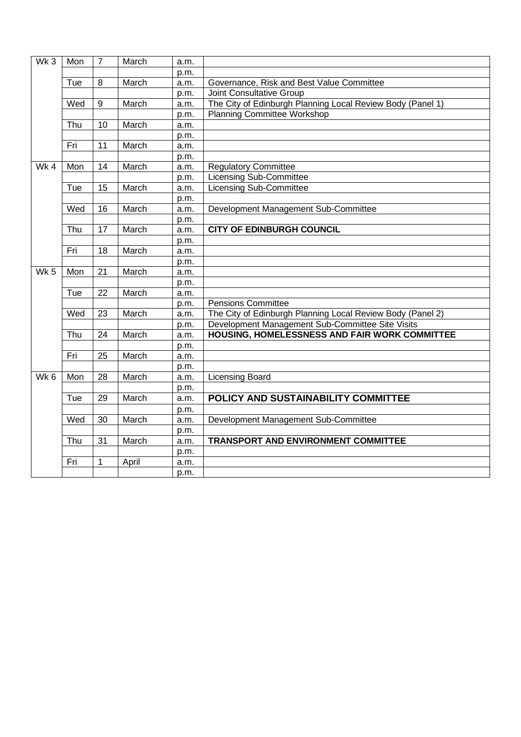| Wk3             | Mon | $\overline{7}$ | March | a.m. |                                                            |
|-----------------|-----|----------------|-------|------|------------------------------------------------------------|
|                 |     |                |       | p.m. |                                                            |
|                 | Tue | $\overline{8}$ | March | a.m. | Governance, Risk and Best Value Committee                  |
|                 |     |                |       | p.m. | Joint Consultative Group                                   |
|                 | Wed | 9              | March | a.m. | The City of Edinburgh Planning Local Review Body (Panel 1) |
|                 |     |                |       | p.m. | <b>Planning Committee Workshop</b>                         |
|                 | Thu | 10             | March | a.m. |                                                            |
|                 |     |                |       | p.m. |                                                            |
|                 | Fri | 11             | March | a.m. |                                                            |
|                 |     |                |       | p.m. |                                                            |
| $Wk$ 4          | Mon | 14             | March | a.m. | <b>Regulatory Committee</b>                                |
|                 |     |                |       | p.m. | <b>Licensing Sub-Committee</b>                             |
|                 | Tue | 15             | March | a.m. | <b>Licensing Sub-Committee</b>                             |
|                 |     |                |       | p.m. |                                                            |
|                 | Wed | 16             | March | a.m. | Development Management Sub-Committee                       |
|                 |     |                |       | p.m. |                                                            |
|                 | Thu | 17             | March | a.m. | <b>CITY OF EDINBURGH COUNCIL</b>                           |
|                 |     |                |       | p.m. |                                                            |
|                 | Fri | 18             | March | a.m. |                                                            |
|                 |     |                |       | p.m. |                                                            |
| Wk <sub>5</sub> | Mon | 21             | March | a.m. |                                                            |
|                 |     |                |       | p.m. |                                                            |
|                 | Tue | 22             | March | a.m. |                                                            |
|                 |     |                |       | p.m. | <b>Pensions Committee</b>                                  |
|                 | Wed | 23             | March | a.m. | The City of Edinburgh Planning Local Review Body (Panel 2) |
|                 |     |                |       | p.m. | Development Management Sub-Committee Site Visits           |
|                 | Thu | 24             | March | a.m. | HOUSING, HOMELESSNESS AND FAIR WORK COMMITTEE              |
|                 |     |                |       | p.m. |                                                            |
|                 | Fri | 25             | March | a.m. |                                                            |
|                 |     |                |       | p.m. |                                                            |
| Wk <sub>6</sub> | Mon | 28             | March | a.m. | <b>Licensing Board</b>                                     |
|                 |     |                |       | p.m. |                                                            |
|                 | Tue | 29             | March | a.m. | POLICY AND SUSTAINABILITY COMMITTEE                        |
|                 |     |                |       | p.m. |                                                            |
|                 | Wed | 30             | March | a.m. | Development Management Sub-Committee                       |
|                 |     |                |       | p.m. |                                                            |
|                 | Thu | 31             | March | a.m. | <b>TRANSPORT AND ENVIRONMENT COMMITTEE</b>                 |
|                 |     |                |       | p.m. |                                                            |
|                 | Fri | $\mathbf 1$    | April | a.m. |                                                            |
|                 |     |                |       | p.m. |                                                            |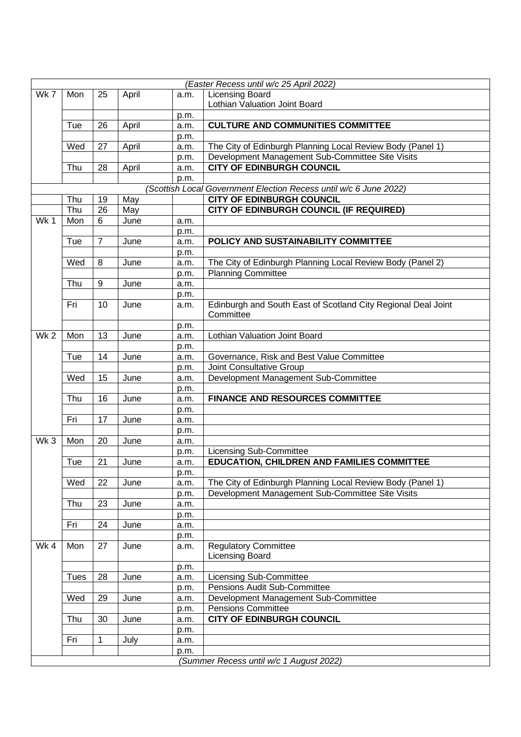|                 | (Easter Recess until w/c 25 April 2022) |                |       |              |                                                                   |  |  |  |
|-----------------|-----------------------------------------|----------------|-------|--------------|-------------------------------------------------------------------|--|--|--|
| Wk 7            | Mon                                     | 25             | April | a.m.         | <b>Licensing Board</b>                                            |  |  |  |
|                 |                                         |                |       |              | Lothian Valuation Joint Board                                     |  |  |  |
|                 |                                         |                |       | p.m.         |                                                                   |  |  |  |
|                 | Tue                                     | 26             | April | a.m.         | <b>CULTURE AND COMMUNITIES COMMITTEE</b>                          |  |  |  |
|                 |                                         |                |       | p.m.         |                                                                   |  |  |  |
|                 | Wed                                     | 27             | April | a.m.         | The City of Edinburgh Planning Local Review Body (Panel 1)        |  |  |  |
|                 |                                         |                |       | p.m.         | Development Management Sub-Committee Site Visits                  |  |  |  |
|                 | Thu                                     | 28             | April | a.m.         | <b>CITY OF EDINBURGH COUNCIL</b>                                  |  |  |  |
|                 |                                         |                |       | p.m.         |                                                                   |  |  |  |
|                 |                                         |                |       |              | (Scottish Local Government Election Recess until w/c 6 June 2022) |  |  |  |
|                 | Thu                                     | 19             | May   |              | <b>CITY OF EDINBURGH COUNCIL</b>                                  |  |  |  |
|                 | Thu                                     | 26             | May   |              | CITY OF EDINBURGH COUNCIL (IF REQUIRED)                           |  |  |  |
| Wk1             | Mon                                     | 6              | June  | a.m.         |                                                                   |  |  |  |
|                 |                                         |                |       | p.m.         |                                                                   |  |  |  |
|                 | Tue                                     | $\overline{7}$ | June  | a.m.         | POLICY AND SUSTAINABILITY COMMITTEE                               |  |  |  |
|                 |                                         |                |       | p.m.         |                                                                   |  |  |  |
|                 | Wed                                     | 8              | June  | a.m.         | The City of Edinburgh Planning Local Review Body (Panel 2)        |  |  |  |
|                 |                                         |                |       | p.m.         | <b>Planning Committee</b>                                         |  |  |  |
|                 | Thu                                     | 9              | June  | a.m.         |                                                                   |  |  |  |
|                 |                                         |                |       | p.m.         |                                                                   |  |  |  |
|                 | Fri                                     | 10             | June  | a.m.         | Edinburgh and South East of Scotland City Regional Deal Joint     |  |  |  |
|                 |                                         |                |       |              | Committee                                                         |  |  |  |
|                 |                                         |                |       | p.m.         |                                                                   |  |  |  |
| Wk <sub>2</sub> | Mon                                     | 13             | June  | a.m.         | Lothian Valuation Joint Board                                     |  |  |  |
|                 |                                         |                |       | p.m.         |                                                                   |  |  |  |
|                 | Tue                                     | 14             | June  | a.m.         | Governance, Risk and Best Value Committee                         |  |  |  |
|                 |                                         |                |       | p.m.         | Joint Consultative Group                                          |  |  |  |
|                 | Wed                                     | 15             | June  | a.m.         | Development Management Sub-Committee                              |  |  |  |
|                 |                                         |                |       | p.m.         |                                                                   |  |  |  |
|                 | Thu                                     | 16             | June  | a.m.         | <b>FINANCE AND RESOURCES COMMITTEE</b>                            |  |  |  |
|                 |                                         |                |       | p.m.         |                                                                   |  |  |  |
|                 | Fri                                     | 17             | June  | a.m.         |                                                                   |  |  |  |
|                 |                                         |                |       | p.m.         |                                                                   |  |  |  |
| Wk3             | Mon                                     | 20             | June  | a.m.         |                                                                   |  |  |  |
|                 |                                         |                |       | p.m.         | <b>Licensing Sub-Committee</b>                                    |  |  |  |
|                 | Tue                                     | 21             | June  | a.m.         | EDUCATION, CHILDREN AND FAMILIES COMMITTEE                        |  |  |  |
|                 |                                         |                |       | p.m.         |                                                                   |  |  |  |
|                 | Wed                                     | 22             | June  | a.m.         | The City of Edinburgh Planning Local Review Body (Panel 1)        |  |  |  |
|                 |                                         |                |       | p.m.         | Development Management Sub-Committee Site Visits                  |  |  |  |
|                 | Thu                                     | 23             | June  | a.m.         |                                                                   |  |  |  |
|                 |                                         |                |       | p.m.         |                                                                   |  |  |  |
|                 | Fri                                     | 24             | June  | a.m.         |                                                                   |  |  |  |
|                 |                                         |                |       | p.m.         |                                                                   |  |  |  |
| Wk4             | Mon                                     | 27             | June  | a.m.         | <b>Regulatory Committee</b>                                       |  |  |  |
|                 |                                         |                |       |              | <b>Licensing Board</b>                                            |  |  |  |
|                 |                                         |                |       | p.m.         |                                                                   |  |  |  |
|                 | <b>Tues</b>                             | 28             | June  | a.m.         | <b>Licensing Sub-Committee</b>                                    |  |  |  |
|                 |                                         |                |       | p.m.         | Pensions Audit Sub-Committee                                      |  |  |  |
|                 | Wed                                     | 29             | June  | a.m.         | Development Management Sub-Committee                              |  |  |  |
|                 |                                         |                |       |              | <b>Pensions Committee</b>                                         |  |  |  |
|                 | Thu                                     | 30             | June  | p.m.<br>a.m. | <b>CITY OF EDINBURGH COUNCIL</b>                                  |  |  |  |
|                 |                                         |                |       |              |                                                                   |  |  |  |
|                 | Fri                                     | 1              | July  | p.m.<br>a.m. |                                                                   |  |  |  |
|                 |                                         |                |       |              |                                                                   |  |  |  |
|                 |                                         |                |       | p.m.         |                                                                   |  |  |  |
|                 | (Summer Recess until w/c 1 August 2022) |                |       |              |                                                                   |  |  |  |